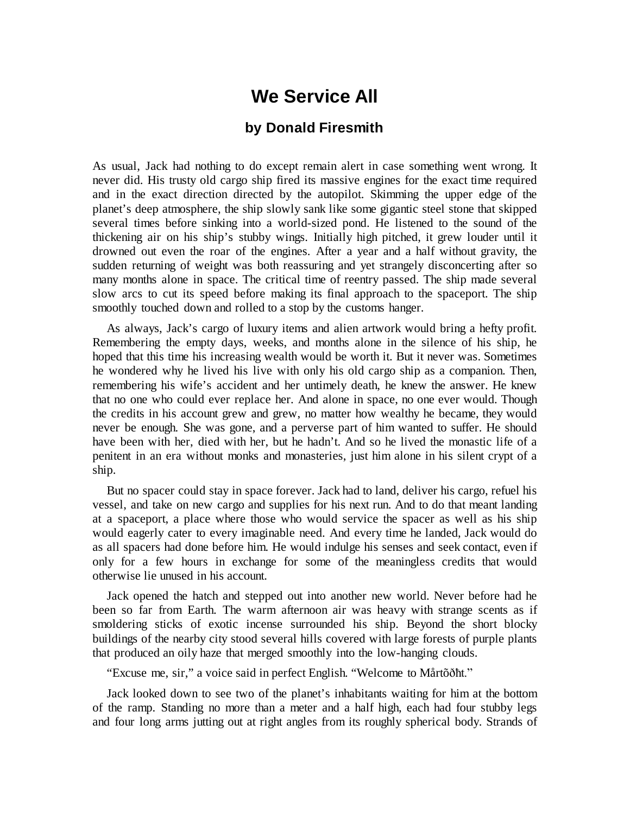## **We Service All**

## **by Donald Firesmith**

As usual, Jack had nothing to do except remain alert in case something went wrong. It never did. His trusty old cargo ship fired its massive engines for the exact time required and in the exact direction directed by the autopilot. Skimming the upper edge of the planet's deep atmosphere, the ship slowly sank like some gigantic steel stone that skipped several times before sinking into a world-sized pond. He listened to the sound of the thickening air on his ship's stubby wings. Initially high pitched, it grew louder until it drowned out even the roar of the engines. After a year and a half without gravity, the sudden returning of weight was both reassuring and yet strangely disconcerting after so many months alone in space. The critical time of reentry passed. The ship made several slow arcs to cut its speed before making its final approach to the spaceport. The ship smoothly touched down and rolled to a stop by the customs hanger.

As always, Jack's cargo of luxury items and alien artwork would bring a hefty profit. Remembering the empty days, weeks, and months alone in the silence of his ship, he hoped that this time his increasing wealth would be worth it. But it never was. Sometimes he wondered why he lived his live with only his old cargo ship as a companion. Then, remembering his wife's accident and her untimely death, he knew the answer. He knew that no one who could ever replace her. And alone in space, no one ever would. Though the credits in his account grew and grew, no matter how wealthy he became, they would never be enough. She was gone, and a perverse part of him wanted to suffer. He should have been with her, died with her, but he hadn't. And so he lived the monastic life of a penitent in an era without monks and monasteries, just him alone in his silent crypt of a ship.

But no spacer could stay in space forever. Jack had to land, deliver his cargo, refuel his vessel, and take on new cargo and supplies for his next run. And to do that meant landing at a spaceport, a place where those who would service the spacer as well as his ship would eagerly cater to every imaginable need. And every time he landed, Jack would do as all spacers had done before him. He would indulge his senses and seek contact, even if only for a few hours in exchange for some of the meaningless credits that would otherwise lie unused in his account.

Jack opened the hatch and stepped out into another new world. Never before had he been so far from Earth. The warm afternoon air was heavy with strange scents as if smoldering sticks of exotic incense surrounded his ship. Beyond the short blocky buildings of the nearby city stood several hills covered with large forests of purple plants that produced an oily haze that merged smoothly into the low-hanging clouds.

"Excuse me, sir," a voice said in perfect English. "Welcome to Mårtõðħt."

Jack looked down to see two of the planet's inhabitants waiting for him at the bottom of the ramp. Standing no more than a meter and a half high, each had four stubby legs and four long arms jutting out at right angles from its roughly spherical body. Strands of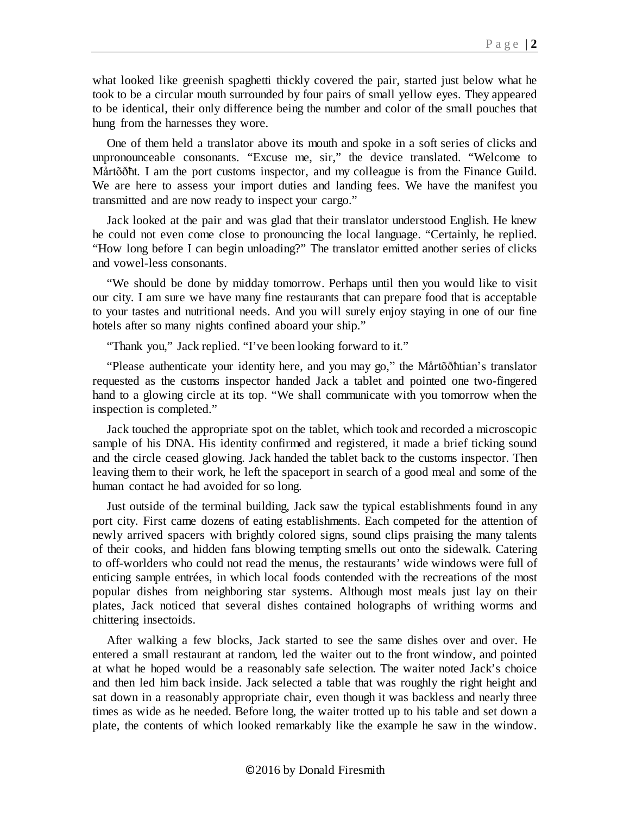what looked like greenish spaghetti thickly covered the pair, started just below what he took to be a circular mouth surrounded by four pairs of small yellow eyes. They appeared to be identical, their only difference being the number and color of the small pouches that hung from the harnesses they wore.

One of them held a translator above its mouth and spoke in a soft series of clicks and unpronounceable consonants. "Excuse me, sir," the device translated. "Welcome to Mårtõðħt. I am the port customs inspector, and my colleague is from the Finance Guild. We are here to assess your import duties and landing fees. We have the manifest you transmitted and are now ready to inspect your cargo."

Jack looked at the pair and was glad that their translator understood English. He knew he could not even come close to pronouncing the local language. "Certainly, he replied. "How long before I can begin unloading?" The translator emitted another series of clicks and vowel-less consonants.

"We should be done by midday tomorrow. Perhaps until then you would like to visit our city. I am sure we have many fine restaurants that can prepare food that is acceptable to your tastes and nutritional needs. And you will surely enjoy staying in one of our fine hotels after so many nights confined aboard your ship."

"Thank you," Jack replied. "I've been looking forward to it."

"Please authenticate your identity here, and you may go," the Mårtõðħtian's translator requested as the customs inspector handed Jack a tablet and pointed one two-fingered hand to a glowing circle at its top. "We shall communicate with you tomorrow when the inspection is completed."

Jack touched the appropriate spot on the tablet, which took and recorded a microscopic sample of his DNA. His identity confirmed and registered, it made a brief ticking sound and the circle ceased glowing. Jack handed the tablet back to the customs inspector. Then leaving them to their work, he left the spaceport in search of a good meal and some of the human contact he had avoided for so long.

Just outside of the terminal building, Jack saw the typical establishments found in any port city. First came dozens of eating establishments. Each competed for the attention of newly arrived spacers with brightly colored signs, sound clips praising the many talents of their cooks, and hidden fans blowing tempting smells out onto the sidewalk. Catering to off-worlders who could not read the menus, the restaurants' wide windows were full of enticing sample entrées, in which local foods contended with the recreations of the most popular dishes from neighboring star systems. Although most meals just lay on their plates, Jack noticed that several dishes contained holographs of writhing worms and chittering insectoids.

After walking a few blocks, Jack started to see the same dishes over and over. He entered a small restaurant at random, led the waiter out to the front window, and pointed at what he hoped would be a reasonably safe selection. The waiter noted Jack's choice and then led him back inside. Jack selected a table that was roughly the right height and sat down in a reasonably appropriate chair, even though it was backless and nearly three times as wide as he needed. Before long, the waiter trotted up to his table and set down a plate, the contents of which looked remarkably like the example he saw in the window.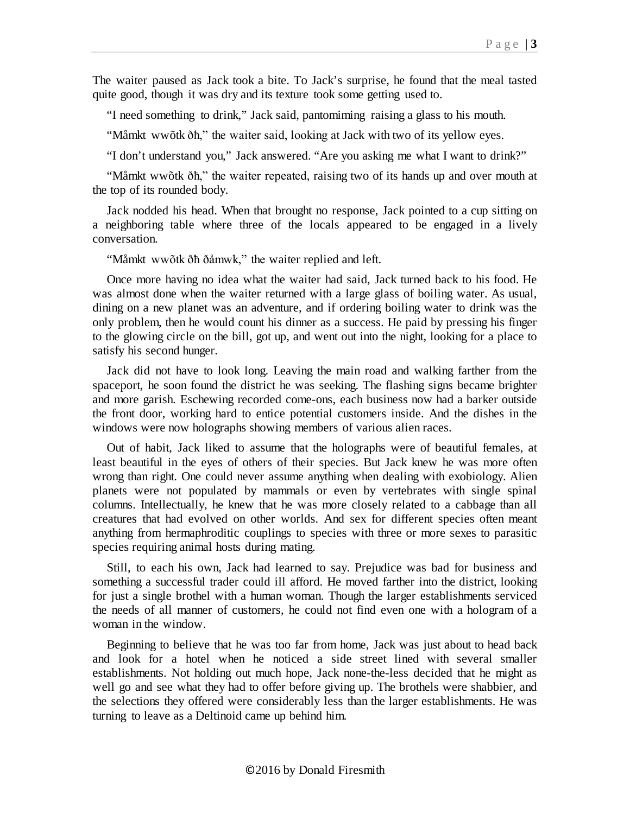The waiter paused as Jack took a bite. To Jack's surprise, he found that the meal tasted quite good, though it was dry and its texture took some getting used to.

"I need something to drink," Jack said, pantomiming raising a glass to his mouth.

"Måmkt wwõtk ðħ," the waiter said, looking at Jack with two of its yellow eyes.

"I don't understand you," Jack answered. "Are you asking me what I want to drink?"

"Måmkt wwõtk ðħ," the waiter repeated, raising two of its hands up and over mouth at the top of its rounded body.

Jack nodded his head. When that brought no response, Jack pointed to a cup sitting on a neighboring table where three of the locals appeared to be engaged in a lively conversation.

"Måmkt wwõtk ðħ ðåmwk," the waiter replied and left.

Once more having no idea what the waiter had said, Jack turned back to his food. He was almost done when the waiter returned with a large glass of boiling water. As usual, dining on a new planet was an adventure, and if ordering boiling water to drink was the only problem, then he would count his dinner as a success. He paid by pressing his finger to the glowing circle on the bill, got up, and went out into the night, looking for a place to satisfy his second hunger.

Jack did not have to look long. Leaving the main road and walking farther from the spaceport, he soon found the district he was seeking. The flashing signs became brighter and more garish. Eschewing recorded come-ons, each business now had a barker outside the front door, working hard to entice potential customers inside. And the dishes in the windows were now holographs showing members of various alien races.

Out of habit, Jack liked to assume that the holographs were of beautiful females, at least beautiful in the eyes of others of their species. But Jack knew he was more often wrong than right. One could never assume anything when dealing with exobiology. Alien planets were not populated by mammals or even by vertebrates with single spinal columns. Intellectually, he knew that he was more closely related to a cabbage than all creatures that had evolved on other worlds. And sex for different species often meant anything from hermaphroditic couplings to species with three or more sexes to parasitic species requiring animal hosts during mating.

Still, to each his own, Jack had learned to say. Prejudice was bad for business and something a successful trader could ill afford. He moved farther into the district, looking for just a single brothel with a human woman. Though the larger establishments serviced the needs of all manner of customers, he could not find even one with a hologram of a woman in the window.

Beginning to believe that he was too far from home, Jack was just about to head back and look for a hotel when he noticed a side street lined with several smaller establishments. Not holding out much hope, Jack none-the-less decided that he might as well go and see what they had to offer before giving up. The brothels were shabbier, and the selections they offered were considerably less than the larger establishments. He was turning to leave as a Deltinoid came up behind him.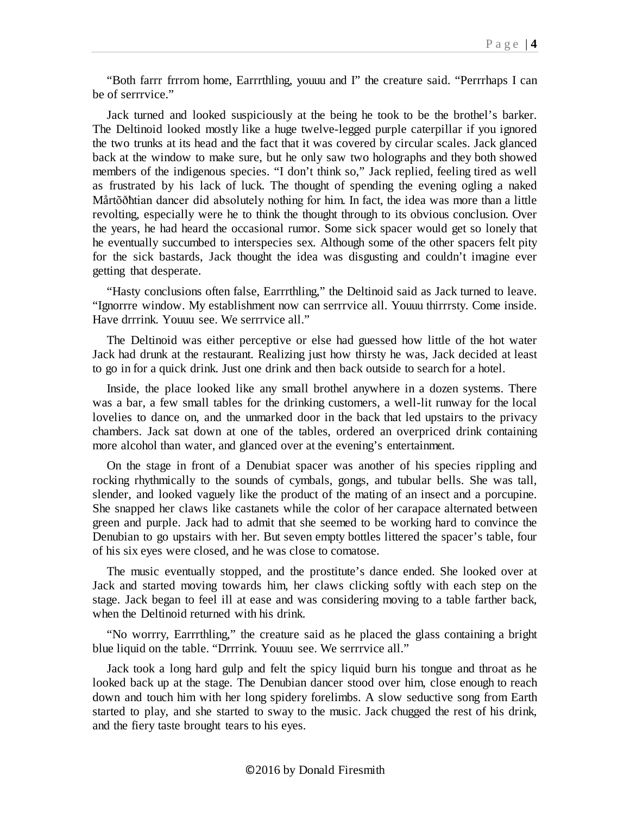"Both farrr frrrom home, Earrrthling, youuu and I" the creature said. "Perrrhaps I can be of serrrvice."

Jack turned and looked suspiciously at the being he took to be the brothel's barker. The Deltinoid looked mostly like a huge twelve-legged purple caterpillar if you ignored the two trunks at its head and the fact that it was covered by circular scales. Jack glanced back at the window to make sure, but he only saw two holographs and they both showed members of the indigenous species. "I don't think so," Jack replied, feeling tired as well as frustrated by his lack of luck. The thought of spending the evening ogling a naked Mårtõðħtian dancer did absolutely nothing for him. In fact, the idea was more than a little revolting, especially were he to think the thought through to its obvious conclusion. Over the years, he had heard the occasional rumor. Some sick spacer would get so lonely that he eventually succumbed to interspecies sex. Although some of the other spacers felt pity for the sick bastards, Jack thought the idea was disgusting and couldn't imagine ever getting that desperate.

"Hasty conclusions often false, Earrrthling," the Deltinoid said as Jack turned to leave. "Ignorrre window. My establishment now can serrrvice all. Youuu thirrrsty. Come inside. Have drrrink. Youuu see. We serrrvice all."

The Deltinoid was either perceptive or else had guessed how little of the hot water Jack had drunk at the restaurant. Realizing just how thirsty he was, Jack decided at least to go in for a quick drink. Just one drink and then back outside to search for a hotel.

Inside, the place looked like any small brothel anywhere in a dozen systems. There was a bar, a few small tables for the drinking customers, a well-lit runway for the local lovelies to dance on, and the unmarked door in the back that led upstairs to the privacy chambers. Jack sat down at one of the tables, ordered an overpriced drink containing more alcohol than water, and glanced over at the evening's entertainment.

On the stage in front of a Denubiat spacer was another of his species rippling and rocking rhythmically to the sounds of cymbals, gongs, and tubular bells. She was tall, slender, and looked vaguely like the product of the mating of an insect and a porcupine. She snapped her claws like castanets while the color of her carapace alternated between green and purple. Jack had to admit that she seemed to be working hard to convince the Denubian to go upstairs with her. But seven empty bottles littered the spacer's table, four of his six eyes were closed, and he was close to comatose.

The music eventually stopped, and the prostitute's dance ended. She looked over at Jack and started moving towards him, her claws clicking softly with each step on the stage. Jack began to feel ill at ease and was considering moving to a table farther back, when the Deltinoid returned with his drink.

"No worrry, Earrrthling," the creature said as he placed the glass containing a bright blue liquid on the table. "Drrrink. Youuu see. We serrrvice all."

Jack took a long hard gulp and felt the spicy liquid burn his tongue and throat as he looked back up at the stage. The Denubian dancer stood over him, close enough to reach down and touch him with her long spidery forelimbs. A slow seductive song from Earth started to play, and she started to sway to the music. Jack chugged the rest of his drink, and the fiery taste brought tears to his eyes.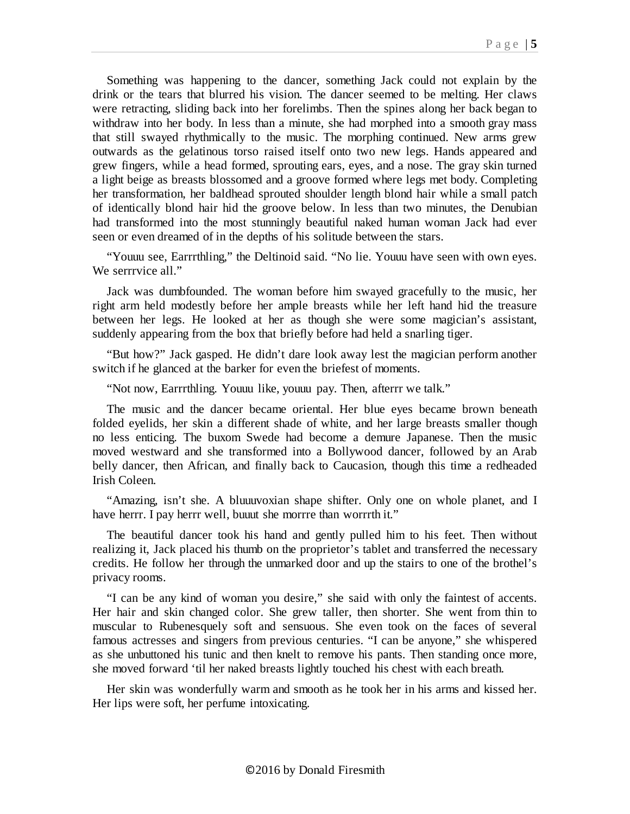Something was happening to the dancer, something Jack could not explain by the drink or the tears that blurred his vision. The dancer seemed to be melting. Her claws were retracting, sliding back into her forelimbs. Then the spines along her back began to withdraw into her body. In less than a minute, she had morphed into a smooth gray mass that still swayed rhythmically to the music. The morphing continued. New arms grew outwards as the gelatinous torso raised itself onto two new legs. Hands appeared and grew fingers, while a head formed, sprouting ears, eyes, and a nose. The gray skin turned a light beige as breasts blossomed and a groove formed where legs met body. Completing her transformation, her baldhead sprouted shoulder length blond hair while a small patch of identically blond hair hid the groove below. In less than two minutes, the Denubian had transformed into the most stunningly beautiful naked human woman Jack had ever seen or even dreamed of in the depths of his solitude between the stars.

"Youuu see, Earrrthling," the Deltinoid said. "No lie. Youuu have seen with own eyes. We serrrvice all."

Jack was dumbfounded. The woman before him swayed gracefully to the music, her right arm held modestly before her ample breasts while her left hand hid the treasure between her legs. He looked at her as though she were some magician's assistant, suddenly appearing from the box that briefly before had held a snarling tiger.

"But how?" Jack gasped. He didn't dare look away lest the magician perform another switch if he glanced at the barker for even the briefest of moments.

"Not now, Earrrthling. Youuu like, youuu pay. Then, afterrr we talk."

The music and the dancer became oriental. Her blue eyes became brown beneath folded eyelids, her skin a different shade of white, and her large breasts smaller though no less enticing. The buxom Swede had become a demure Japanese. Then the music moved westward and she transformed into a Bollywood dancer, followed by an Arab belly dancer, then African, and finally back to Caucasion, though this time a redheaded Irish Coleen.

"Amazing, isn't she. A bluuuvoxian shape shifter. Only one on whole planet, and I have herrr. I pay herrr well, buuut she morrre than worrrth it."

The beautiful dancer took his hand and gently pulled him to his feet. Then without realizing it, Jack placed his thumb on the proprietor's tablet and transferred the necessary credits. He follow her through the unmarked door and up the stairs to one of the brothel's privacy rooms.

"I can be any kind of woman you desire," she said with only the faintest of accents. Her hair and skin changed color. She grew taller, then shorter. She went from thin to muscular to Rubenesquely soft and sensuous. She even took on the faces of several famous actresses and singers from previous centuries. "I can be anyone," she whispered as she unbuttoned his tunic and then knelt to remove his pants. Then standing once more, she moved forward 'til her naked breasts lightly touched his chest with each breath.

Her skin was wonderfully warm and smooth as he took her in his arms and kissed her. Her lips were soft, her perfume intoxicating.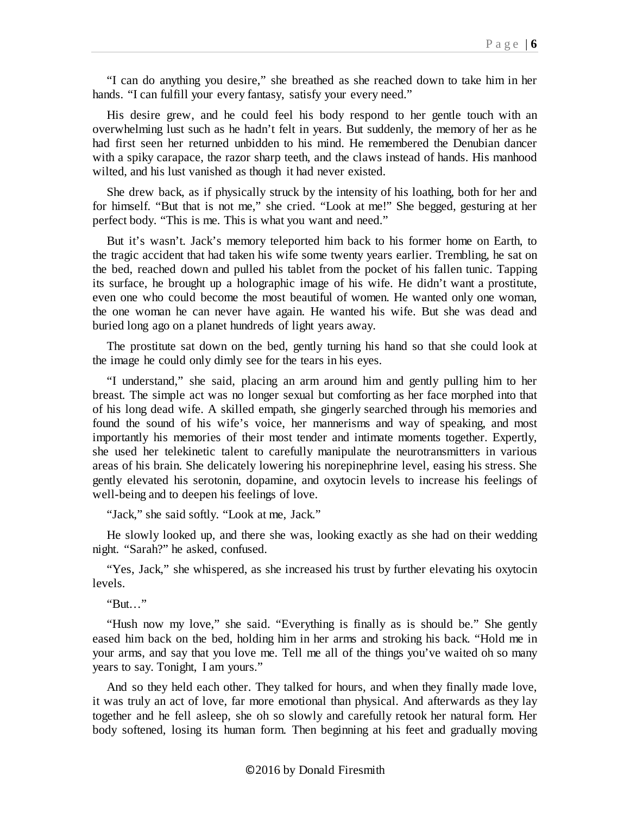"I can do anything you desire," she breathed as she reached down to take him in her hands. "I can fulfill your every fantasy, satisfy your every need."

His desire grew, and he could feel his body respond to her gentle touch with an overwhelming lust such as he hadn't felt in years. But suddenly, the memory of her as he had first seen her returned unbidden to his mind. He remembered the Denubian dancer with a spiky carapace, the razor sharp teeth, and the claws instead of hands. His manhood wilted, and his lust vanished as though it had never existed.

She drew back, as if physically struck by the intensity of his loathing, both for her and for himself. "But that is not me," she cried. "Look at me!" She begged, gesturing at her perfect body. "This is me. This is what you want and need."

But it's wasn't. Jack's memory teleported him back to his former home on Earth, to the tragic accident that had taken his wife some twenty years earlier. Trembling, he sat on the bed, reached down and pulled his tablet from the pocket of his fallen tunic. Tapping its surface, he brought up a holographic image of his wife. He didn't want a prostitute, even one who could become the most beautiful of women. He wanted only one woman, the one woman he can never have again. He wanted his wife. But she was dead and buried long ago on a planet hundreds of light years away.

The prostitute sat down on the bed, gently turning his hand so that she could look at the image he could only dimly see for the tears in his eyes.

"I understand," she said, placing an arm around him and gently pulling him to her breast. The simple act was no longer sexual but comforting as her face morphed into that of his long dead wife. A skilled empath, she gingerly searched through his memories and found the sound of his wife's voice, her mannerisms and way of speaking, and most importantly his memories of their most tender and intimate moments together. Expertly, she used her telekinetic talent to carefully manipulate the neurotransmitters in various areas of his brain. She delicately lowering his norepinephrine level, easing his stress. She gently elevated his serotonin, dopamine, and oxytocin levels to increase his feelings of well-being and to deepen his feelings of love.

"Jack," she said softly. "Look at me, Jack."

He slowly looked up, and there she was, looking exactly as she had on their wedding night. "Sarah?" he asked, confused.

"Yes, Jack," she whispered, as she increased his trust by further elevating his oxytocin levels.

"But…"

"Hush now my love," she said. "Everything is finally as is should be." She gently eased him back on the bed, holding him in her arms and stroking his back. "Hold me in your arms, and say that you love me. Tell me all of the things you've waited oh so many years to say. Tonight, I am yours."

And so they held each other. They talked for hours, and when they finally made love, it was truly an act of love, far more emotional than physical. And afterwards as they lay together and he fell asleep, she oh so slowly and carefully retook her natural form. Her body softened, losing its human form. Then beginning at his feet and gradually moving